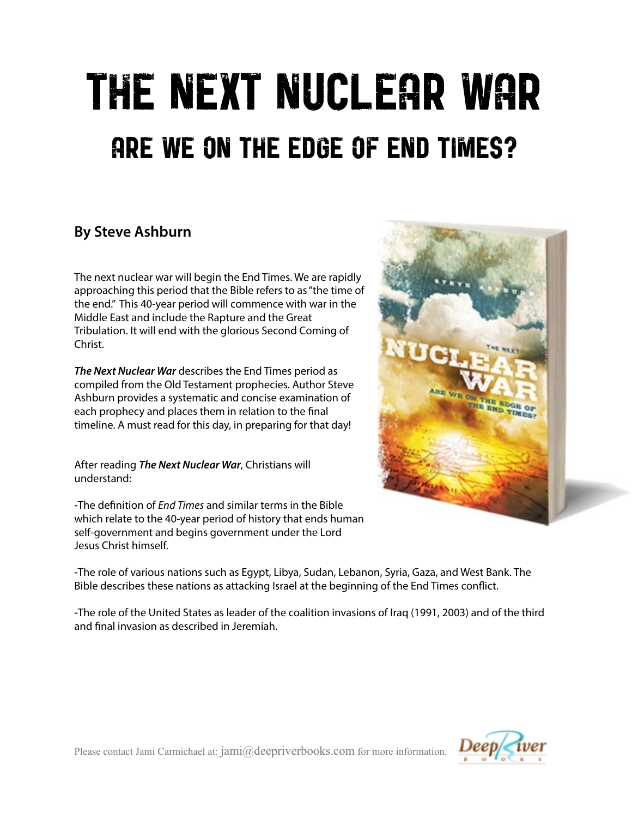# THE NEXT NUCLEAR WAR ARE WE ON THE EDGE OF END TIMES?

# **By Steve Ashburn**

The next nuclear war will begin the End Times. We are rapidly approaching this period that the Bible refers to as "the time of the end." This 40-year period will commence with war in the Middle East and include the Rapture and the Great Tribulation. It will end with the glorious Second Coming of Christ.

*The Next Nuclear War* describes the End Times period as compiled from the Old Testament prophecies. Author Steve Ashburn provides a systematic and concise examination of each prophecy and places them in relation to the fnal timeline. A must read for this day, in preparing for that day!

After reading *The Next Nuclear War*, Christians will understand:

**-**The defnition of *End Times* and similar terms in the Bible which relate to the 40-year period of history that ends human self-government and begins government under the Lord Jesus Christ himself.



**-**The role of various nations such as Egypt, Libya, Sudan, Lebanon, Syria, Gaza, and West Bank. The Bible describes these nations as attacking Israel at the beginning of the End Times confict.

**-**The role of the United States as leader of the coalition invasions of Iraq (1991, 2003) and of the third and fnal invasion as described in Jeremiah.



Please contact Jami Carmichael at:  $jami@deepriverbooks.com$  for more information.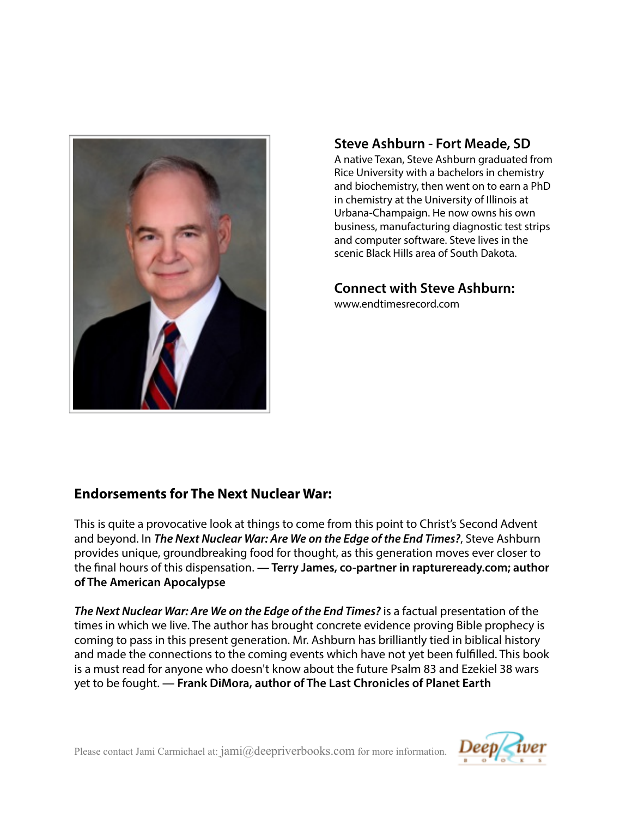

## **Steve Ashburn - Fort Meade, SD**

 A native Texan, Steve Ashburn graduated from Rice University with a bachelors in chemistry and biochemistry, then went on to earn a PhD in chemistry at the University of Illinois at Urbana-Champaign. He now owns his own business, manufacturing diagnostic test strips and computer software. Steve lives in the scenic Black Hills area of South Dakota.

## **Connect with Steve Ashburn:**

www.endtimesrecord.com

## **Endorsements for The Next Nuclear War:**

This is quite a provocative look at things to come from this point to Christ's Second Advent and beyond. In *The Next Nuclear War: Are We on the Edge of the End Times?*, Steve Ashburn provides unique, groundbreaking food for thought, as this generation moves ever closer to the fnal hours of this dispensation. **— Terry James, co-partner in raptureready.com; author of The American Apocalypse** 

*The Next Nuclear War: Are We on the Edge of the End Times?* is a factual presentation of the times in which we live. The author has brought concrete evidence proving Bible prophecy is coming to pass in this present generation. Mr. Ashburn has brilliantly tied in biblical history and made the connections to the coming events which have not yet been fulflled. This book is a must read for anyone who doesn't know about the future Psalm 83 and Ezekiel 38 wars yet to be fought. **— Frank DiMora, author of The Last Chronicles of Planet Earth**

Please contact Jami Carmichael at:  $jami@deepriverbooks.com$  for more information.

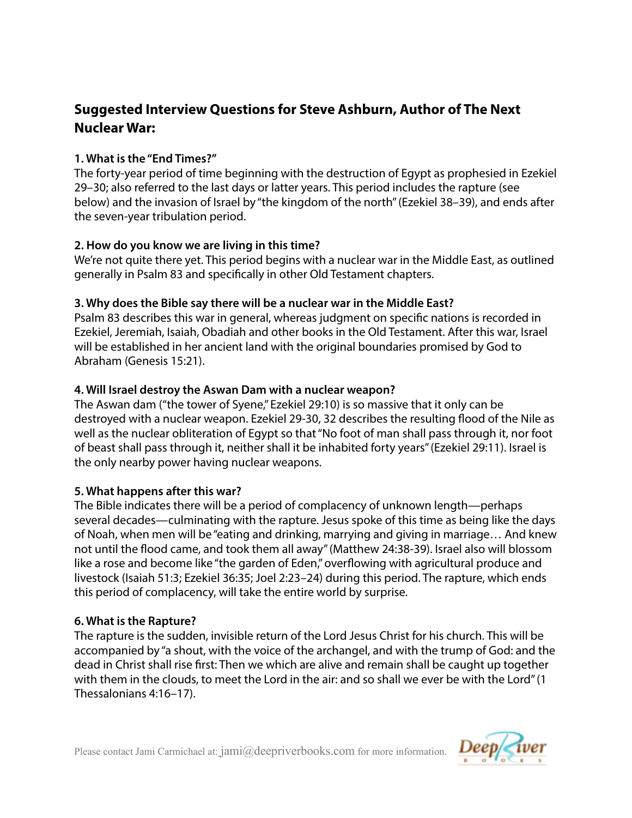# **Suggested Interview Questions for Steve Ashburn, Author of The Next Nuclear War:**

#### **1. What is the "End Times?"**

The forty-year period of time beginning with the destruction of Egypt as prophesied in Ezekiel 29–30; also referred to the last days or latter years. This period includes the rapture (see below) and the invasion of Israel by "the kingdom of the north" (Ezekiel 38–39), and ends after the seven-year tribulation period.

#### **2. How do you know we are living in this time?**

We're not quite there yet. This period begins with a nuclear war in the Middle East, as outlined generally in Psalm 83 and specifcally in other Old Testament chapters.

#### **3. Why does the Bible say there will be a nuclear war in the Middle East?**

Psalm 83 describes this war in general, whereas judgment on specifc nations is recorded in Ezekiel, Jeremiah, Isaiah, Obadiah and other books in the Old Testament. After this war, Israel will be established in her ancient land with the original boundaries promised by God to Abraham (Genesis 15:21).

#### **4. Will Israel destroy the Aswan Dam with a nuclear weapon?**

The Aswan dam ("the tower of Syene," Ezekiel 29:10) is so massive that it only can be destroyed with a nuclear weapon. Ezekiel 29-30, 32 describes the resulting food of the Nile as well as the nuclear obliteration of Egypt so that "No foot of man shall pass through it, nor foot of beast shall pass through it, neither shall it be inhabited forty years" (Ezekiel 29:11). Israel is the only nearby power having nuclear weapons.

#### **5. What happens after this war?**

The Bible indicates there will be a period of complacency of unknown length—perhaps several decades—culminating with the rapture. Jesus spoke of this time as being like the days of Noah, when men will be "eating and drinking, marrying and giving in marriage… And knew not until the food came, and took them all away" (Matthew 24:38-39). Israel also will blossom like a rose and become like "the garden of Eden," overfowing with agricultural produce and livestock (Isaiah 51:3; Ezekiel 36:35; Joel 2:23–24) during this period. The rapture, which ends this period of complacency, will take the entire world by surprise.

#### **6. What is the Rapture?**

The rapture is the sudden, invisible return of the Lord Jesus Christ for his church. This will be accompanied by "a shout, with the voice of the archangel, and with the trump of God: and the dead in Christ shall rise frst: Then we which are alive and remain shall be caught up together with them in the clouds, to meet the Lord in the air: and so shall we ever be with the Lord" (1 Thessalonians 4:16–17).